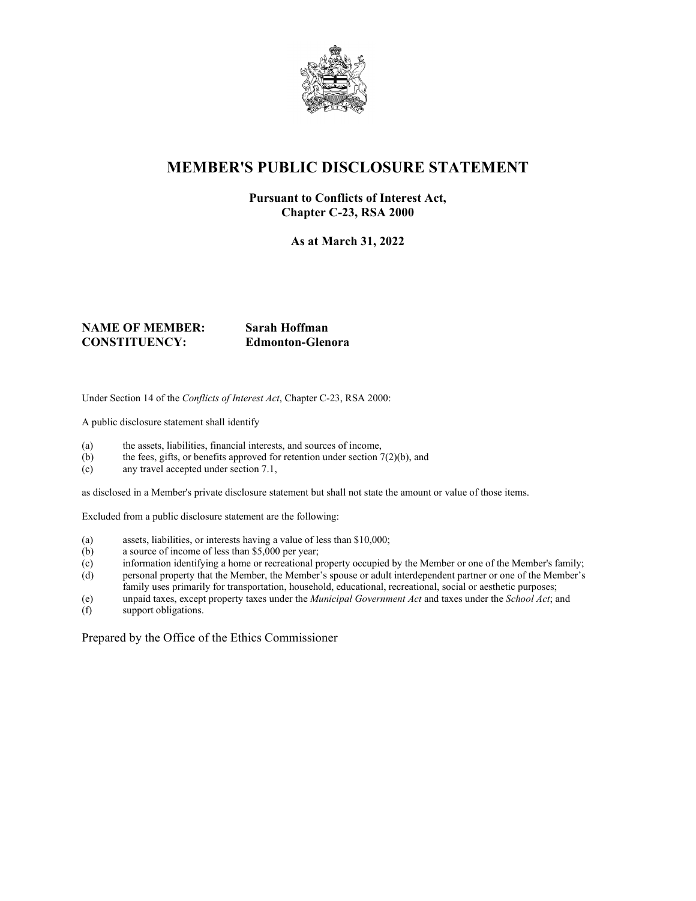

## **MEMBER'S PUBLIC DISCLOSURE STATEMENT**

#### **Pursuant to Conflicts of Interest Act, Chapter C-23, RSA 2000**

**As at March 31, 2022**

### **NAME OF MEMBER: Sarah Hoffman CONSTITUENCY: Edmonton-Glenora**

Under Section 14 of the *Conflicts of Interest Act*, Chapter C-23, RSA 2000:

A public disclosure statement shall identify

- (a) the assets, liabilities, financial interests, and sources of income,
- (b) the fees, gifts, or benefits approved for retention under section  $7(2)(b)$ , and
- (c) any travel accepted under section 7.1,

as disclosed in a Member's private disclosure statement but shall not state the amount or value of those items.

Excluded from a public disclosure statement are the following:

- (a) assets, liabilities, or interests having a value of less than \$10,000;
- (b) a source of income of less than \$5,000 per year;
- (c) information identifying a home or recreational property occupied by the Member or one of the Member's family;
- (d) personal property that the Member, the Member's spouse or adult interdependent partner or one of the Member's family uses primarily for transportation, household, educational, recreational, social or aesthetic purposes;
- (e) unpaid taxes, except property taxes under the *Municipal Government Act* and taxes under the *School Act*; and
- support obligations.

Prepared by the Office of the Ethics Commissioner